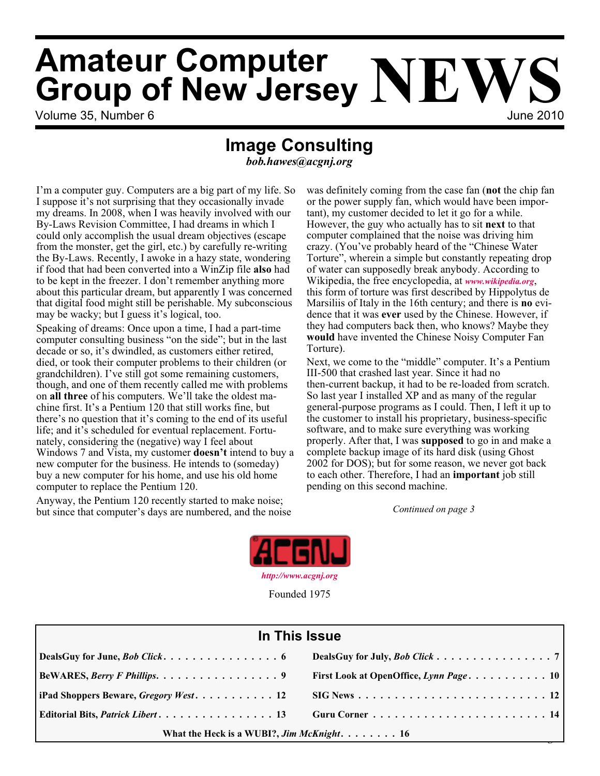# **Amateur Computer Group of New Jersey NEWS**

Volume 35, Number 6 June 2010

# **Image Consulting**

*bob.hawes@acgnj.org*

I'm a computer guy. Computers are a big part of my life. So I suppose it's not surprising that they occasionally invade my dreams. In 2008, when I was heavily involved with our By-Laws Revision Committee, I had dreams in which I could only accomplish the usual dream objectives (escape from the monster, get the girl, etc.) by carefully re-writing the By-Laws. Recently, I awoke in a hazy state, wondering if food that had been converted into a WinZip file **also** had to be kept in the freezer. I don't remember anything more about this particular dream, but apparently I was concerned that digital food might still be perishable. My subconscious may be wacky; but I guess it's logical, too.

Speaking of dreams: Once upon a time, I had a part-time computer consulting business "on the side"; but in the last decade or so, it's dwindled, as customers either retired, died, or took their computer problems to their children (or grandchildren). I've still got some remaining customers, though, and one of them recently called me with problems on **all three** of his computers. We'll take the oldest machine first. It's a Pentium 120 that still works fine, but there's no question that it's coming to the end of its useful life; and it's scheduled for eventual replacement. Fortunately, considering the (negative) way I feel about Windows 7 and Vista, my customer **doesn't** intend to buy a new computer for the business. He intends to (someday) buy a new computer for his home, and use his old home computer to replace the Pentium 120.

Anyway, the Pentium 120 recently started to make noise; but since that computer's days are numbered, and the noise was definitely coming from the case fan (**not** the chip fan or the power supply fan, which would have been important), my customer decided to let it go for a while. However, the guy who actually has to sit **next** to that computer complained that the noise was driving him crazy. (You've probably heard of the "Chinese Water Torture", wherein a simple but constantly repeating drop of water can supposedly break anybody. According to Wikipedia, the free encyclopedia, at *[www.wikipedia.org](http://www.wikipedia.org)*, this form of torture was first described by Hippolytus de Marsiliis of Italy in the 16th century; and there is **no** evidence that it was **ever** used by the Chinese. However, if they had computers back then, who knows? Maybe they **would** have invented the Chinese Noisy Computer Fan Torture).

Next, we come to the "middle" computer. It's a Pentium III-500 that crashed last year. Since it had no then-current backup, it had to be re-loaded from scratch. So last year I installed XP and as many of the regular general-purpose programs as I could. Then, I left it up to the customer to install his proprietary, business-specific software, and to make sure everything was working properly. After that, I was **supposed** to go in and make a complete backup image of its hard disk (using Ghost 2002 for DOS); but for some reason, we never got back to each other. Therefore, I had an **important** job still pending on this second machine.

*Continued on page 3*



Founded 1975

| In This Issue                               |                                       |  |
|---------------------------------------------|---------------------------------------|--|
|                                             | DealsGuy for July, <i>Bob Click</i> 7 |  |
| $\vert$ BeWARES, <i>Berry F Phillips.</i> 9 |                                       |  |
|                                             |                                       |  |
|                                             |                                       |  |
| What the Heck is a WUBI?, Jim McKnight. 16  |                                       |  |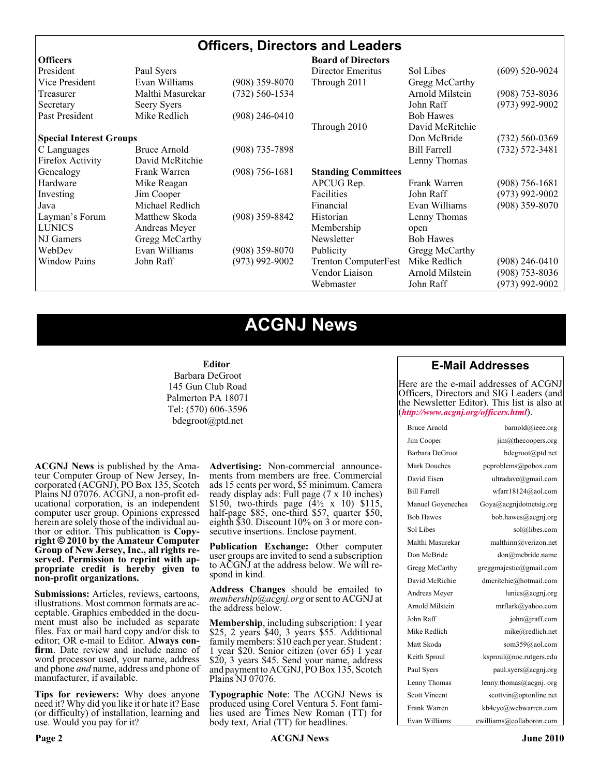# **Officers, Directors and Leaders**

| <b>Officers</b>                |                  |                    | <b>Board of Directors</b>   |                     |                    |
|--------------------------------|------------------|--------------------|-----------------------------|---------------------|--------------------|
| President                      | Paul Syers       |                    | Director Emeritus           | Sol Libes           | $(609)$ 520-9024   |
| Vice President                 | Evan Williams    | $(908)$ 359-8070   | Through 2011                | Gregg McCarthy      |                    |
| Treasurer                      | Malthi Masurekar | $(732) 560 - 1534$ |                             | Arnold Milstein     | $(908)$ 753-8036   |
| Secretary                      | Seery Syers      |                    |                             | John Raff           | $(973)$ 992-9002   |
| Past President                 | Mike Redlich     | $(908)$ 246-0410   |                             | <b>Bob Hawes</b>    |                    |
|                                |                  |                    | Through 2010                | David McRitchie     |                    |
| <b>Special Interest Groups</b> |                  |                    |                             | Don McBride         | $(732) 560 - 0369$ |
| C Languages                    | Bruce Arnold     | $(908)$ 735-7898   |                             | <b>Bill Farrell</b> | $(732) 572 - 3481$ |
| Firefox Activity               | David McRitchie  |                    |                             | Lenny Thomas        |                    |
| Genealogy                      | Frank Warren     | $(908)$ 756-1681   | <b>Standing Committees</b>  |                     |                    |
| Hardware                       | Mike Reagan      |                    | APCUG Rep.                  | Frank Warren        | $(908) 756 - 1681$ |
| Investing                      | Jim Cooper       |                    | Facilities                  | John Raff           | $(973)$ 992-9002   |
| Java                           | Michael Redlich  |                    | Financial                   | Evan Williams       | $(908)$ 359-8070   |
| Layman's Forum                 | Matthew Skoda    | $(908)$ 359-8842   | Historian                   | Lenny Thomas        |                    |
| <b>LUNICS</b>                  | Andreas Meyer    |                    | Membership                  | open                |                    |
| NJ Gamers                      | Gregg McCarthy   |                    | Newsletter                  | <b>Bob Hawes</b>    |                    |
| WebDev                         | Evan Williams    | $(908)$ 359-8070   | Publicity                   | Gregg McCarthy      |                    |
| <b>Window Pains</b>            | John Raff        | $(973)$ 992-9002   | <b>Trenton ComputerFest</b> | Mike Redlich        | $(908)$ 246-0410   |
|                                |                  |                    | Vendor Liaison              | Arnold Milstein     | $(908)$ 753-8036   |
|                                |                  |                    | Webmaster                   | John Raff           | (973) 992-9002     |

# **ACGNJ News**

#### **Editor**

Barbara DeGroot 145 Gun Club Road Palmerton PA 18071 Tel: (570) 606-3596 bdegroot@ptd.net

**ACGNJ News** is published by the Ama- teur Computer Group of New Jersey, In- corporated (ACGNJ), PO Box 135, Scotch Plains NJ 07076. ACGNJ, a non-profit ed-<br>ucational corporation, is an independent computer user group. Opinions expressed herein are solely those of the individual author or editor. This publication is **Copy-**<br>**right**  $\bigcirc$  2010 by the Amateur Computer<br>**Group of New Jersey, Inc., all rights re-Group of New Jersey, Inc., all rights re- served. Permission to reprint with ap- propriate credit is hereby given to non-profit organizations.**

**Submissions:** Articles, reviews, cartoons, illustrations. Most common formats are ac- ceptable. Graphics embedded in the docu- ment must also be included as separate files. Fax or mail hard copy and/or disk to editor; OR e-mail to Editor. Always confirm. Date review and include name of word processor used, your name, address and phone *and* name, address and phone of manufacturer, if available.

**Tips for reviewers:** Why does anyone need it? Why did you like it or hate it? Ease (or difficulty) of installation, learning and use. Would you pay for it?

**Advertising:** Non-commercial announce- ments from members are free. Commercial ads 15 cents per word, \$5 minimum. Camera ready display ads: Full page (7 x 10 inches) \$150, two-thirds page  $(4\frac{1}{2} \times 10)$  \$115, half-page \$85, one-third \$57, quarter \$50, eighth \$30. Discount 10% on 3 or more con- secutive insertions. Enclose payment.

**Publication Exchange:** Other computer user groups are invited to send a subscription to ACGNJ at the address below. We will re- spond in kind.

**Address Changes** should be emailed to *membership@acgnj.org* or sent to ACGNJ at the address below.

**Membership**, including subscription: 1 year \$25, 2 years \$40, 3 years \$55. Additional family members: \$10 each per year. Student : 1 year \$20. Senior citizen (over 65) 1 year \$20, 3 years \$45. Send your name, address and payment to ACGNJ, PO Box 135, Scotch Plains NJ 07076.

**Typographic Note**: The ACGNJ News is produced using Corel Ventura 5. Font fami- lies used are Times New Roman (TT) for body text, Arial (TT) for headlines.

# **E-Mail Addresses**

Here are the e-mail addresses of ACGNJ Officers, Directors and SIG Leaders (and the Newsletter Editor). This list is also at (*<http://www.acgnj.org/officers.html>*).

| Bruce Arnold         | barnold@ieee.org                     |
|----------------------|--------------------------------------|
| Jim Cooper           | jim@thecoopers.org                   |
| Barbara DeGroot      | bdegroot@ptd.net                     |
| Mark Douches         | pcproblems@pobox.com                 |
| David Eisen          | ultradave@gmail.com                  |
| <b>Bill Farrell</b>  | wfarr18124@aol.com                   |
| Manuel Goyenechea    | Goya@acgnidotnetsig.org              |
| <b>Bob Hawes</b>     | bob.hawes@acgnj.org                  |
| Sol Libes            | sol@libes.com                        |
| Malthi Masurekar     | malthirm@verizon.net                 |
| Don McBride          | don@mcbride.name                     |
| Gregg McCarthy       | greggmajestic@gmail.com              |
| David McRichie       | dmcritchie@hotmail.com               |
| Andreas Meyer        | lunics@acgnj.org                     |
| Arnold Milstein      | mrflark@yahoo.com                    |
| John Raff            | $\overline{\text{iohn}(a)}$ raff.com |
| Mike Redlich         | mike@redlich.net                     |
| Matt Skoda           | som359@aol.com                       |
| Keith Sproul         | ksproul@noc.rutgers.edu              |
| Paul Syers           | paul.syers@acgnj.org                 |
| Lenny Thomas         | lenny.thomas@acgnj.org               |
| <b>Scott Vincent</b> | scottvin@optonline.net               |
| Frank Warren         | kb4cyc@webwarren.com                 |
| Evan Williams        | ewilliams@collaboron.com             |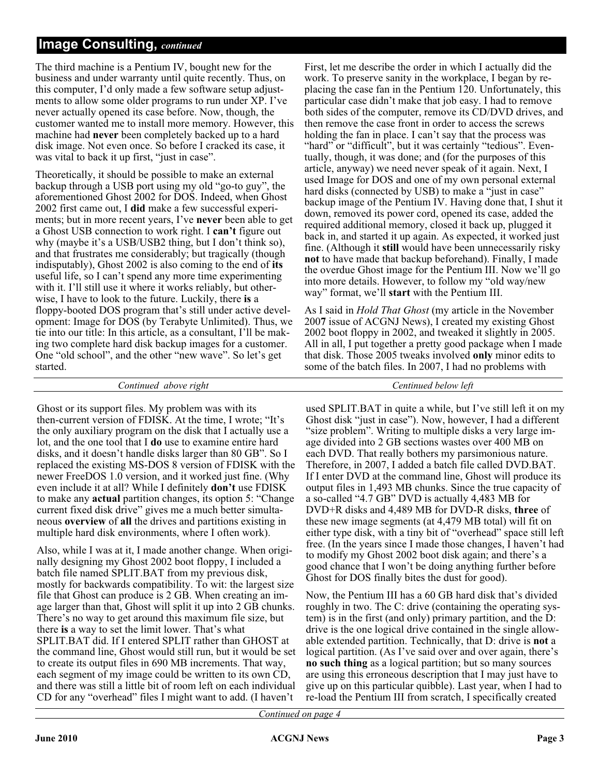# **Image Consulting,** *continued*

The third machine is a Pentium IV, bought new for the business and under warranty until quite recently. Thus, on this computer, I'd only made a few software setup adjustments to allow some older programs to run under XP. I've never actually opened its case before. Now, though, the customer wanted me to install more memory. However, this machine had **never** been completely backed up to a hard disk image. Not even once. So before I cracked its case, it was vital to back it up first, "just in case".

Theoretically, it should be possible to make an external backup through a USB port using my old "go-to guy", the aforementioned Ghost 2002 for DOS. Indeed, when Ghost 2002 first came out, I **did** make a few successful experiments; but in more recent years, I've **never** been able to get a Ghost USB connection to work right. I **can't** figure out why (maybe it's a USB/USB2 thing, but I don't think so), and that frustrates me considerably; but tragically (though indisputably), Ghost 2002 is also coming to the end of **its** useful life, so I can't spend any more time experimenting with it. I'll still use it where it works reliably, but otherwise, I have to look to the future. Luckily, there **is** a floppy-booted DOS program that's still under active development: Image for DOS (by Terabyte Unlimited). Thus, we tie into our title: In this article, as a consultant, I'll be making two complete hard disk backup images for a customer. One "old school", and the other "new wave". So let's get started.

First, let me describe the order in which I actually did the work. To preserve sanity in the workplace, I began by replacing the case fan in the Pentium 120. Unfortunately, this particular case didn't make that job easy. I had to remove both sides of the computer, remove its CD/DVD drives, and then remove the case front in order to access the screws holding the fan in place. I can't say that the process was "hard" or "difficult", but it was certainly "tedious". Eventually, though, it was done; and (for the purposes of this article, anyway) we need never speak of it again. Next, I used Image for DOS and one of my own personal external hard disks (connected by USB) to make a "just in case" backup image of the Pentium IV. Having done that, I shut it down, removed its power cord, opened its case, added the required additional memory, closed it back up, plugged it back in, and started it up again. As expected, it worked just fine. (Although it **still** would have been unnecessarily risky **not** to have made that backup beforehand). Finally, I made the overdue Ghost image for the Pentium III. Now we'll go into more details. However, to follow my "old way/new way" format, we'll **start** with the Pentium III.

As I said in *Hold That Ghost* (my article in the November 200**7** issue of ACGNJ News), I created my existing Ghost 2002 boot floppy in 2002, and tweaked it slightly in 2005. All in all, I put together a pretty good package when I made that disk. Those 2005 tweaks involved **only** minor edits to some of the batch files. In 2007, I had no problems with

#### *Continued above right Centinued below left*

Ghost or its support files. My problem was with its then-current version of FDISK. At the time, I wrote; "It's the only auxiliary program on the disk that I actually use a lot, and the one tool that I **do** use to examine entire hard disks, and it doesn't handle disks larger than 80 GB". So I replaced the existing MS-DOS 8 version of FDISK with the newer FreeDOS 1.0 version, and it worked just fine. (Why even include it at all? While I definitely **don't** use FDISK to make any **actual** partition changes, its option 5: "Change current fixed disk drive" gives me a much better simultaneous **overview** of **all** the drives and partitions existing in multiple hard disk environments, where I often work).

Also, while I was at it, I made another change. When originally designing my Ghost 2002 boot floppy, I included a batch file named SPLIT.BAT from my previous disk, mostly for backwards compatibility. To wit: the largest size file that Ghost can produce is 2 GB. When creating an image larger than that, Ghost will split it up into 2 GB chunks. There's no way to get around this maximum file size, but there **is** a way to set the limit lower. That's what SPLIT.BAT did. If I entered SPLIT rather than GHOST at the command line, Ghost would still run, but it would be set to create its output files in 690 MB increments. That way, each segment of my image could be written to its own CD, and there was still a little bit of room left on each individual CD for any "overhead" files I might want to add. (I haven't

used SPLIT.BAT in quite a while, but I've still left it on my Ghost disk "just in case"). Now, however, I had a different "size problem". Writing to multiple disks a very large image divided into 2 GB sections wastes over 400 MB on each DVD. That really bothers my parsimonious nature. Therefore, in 2007, I added a batch file called DVD.BAT. If I enter DVD at the command line, Ghost will produce its output files in 1,493 MB chunks. Since the true capacity of a so-called "4.7 GB" DVD is actually 4,483 MB for DVD+R disks and 4,489 MB for DVD-R disks, **three** of these new image segments (at 4,479 MB total) will fit on either type disk, with a tiny bit of "overhead" space still left free. (In the years since I made those changes, I haven't had to modify my Ghost 2002 boot disk again; and there's a good chance that I won't be doing anything further before Ghost for DOS finally bites the dust for good).

Now, the Pentium III has a 60 GB hard disk that's divided roughly in two. The C: drive (containing the operating system) is in the first (and only) primary partition, and the D: drive is the one logical drive contained in the single allowable extended partition. Technically, that D: drive is **not** a logical partition. (As I've said over and over again, there's **no such thing** as a logical partition; but so many sources are using this erroneous description that I may just have to give up on this particular quibble). Last year, when I had to re-load the Pentium III from scratch, I specifically created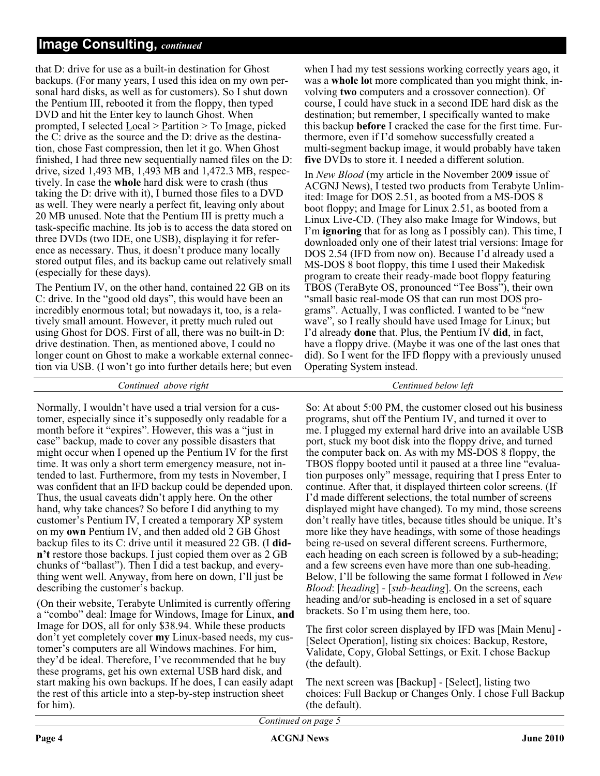# **Image Consulting,** *continued*

that D: drive for use as a built-in destination for Ghost backups. (For many years, I used this idea on my own personal hard disks, as well as for customers). So I shut down the Pentium III, rebooted it from the floppy, then typed DVD and hit the Enter key to launch Ghost. When prompted, I selected  $Local > Partition > To Image, picked$ the C: drive as the source and the D: drive as the destination, chose Fast compression, then let it go. When Ghost finished, I had three new sequentially named files on the D: drive, sized 1,493 MB, 1,493 MB and 1,472.3 MB, respectively. In case the **whole** hard disk were to crash (thus taking the D: drive with it), I burned those files to a DVD as well. They were nearly a perfect fit, leaving only about 20 MB unused. Note that the Pentium III is pretty much a task-specific machine. Its job is to access the data stored on three DVDs (two IDE, one USB), displaying it for reference as necessary. Thus, it doesn't produce many locally stored output files, and its backup came out relatively small (especially for these days).

The Pentium IV, on the other hand, contained 22 GB on its C: drive. In the "good old days", this would have been an incredibly enormous total; but nowadays it, too, is a relatively small amount. However, it pretty much ruled out using Ghost for DOS. First of all, there was no built-in D: drive destination. Then, as mentioned above, I could no longer count on Ghost to make a workable external connection via USB. (I won't go into further details here; but even

*Continued above right Centinued below left*

Normally, I wouldn't have used a trial version for a customer, especially since it's supposedly only readable for a month before it "expires". However, this was a "just in case" backup, made to cover any possible disasters that might occur when I opened up the Pentium IV for the first time. It was only a short term emergency measure, not intended to last. Furthermore, from my tests in November, I was confident that an IFD backup could be depended upon. Thus, the usual caveats didn't apply here. On the other hand, why take chances? So before I did anything to my customer's Pentium IV, I created a temporary XP system on my **own** Pentium IV, and then added old 2 GB Ghost backup files to its C: drive until it measured 22 GB. (I **didn't** restore those backups. I just copied them over as 2 GB chunks of "ballast"). Then I did a test backup, and everything went well. Anyway, from here on down, I'll just be describing the customer's backup.

(On their website, Terabyte Unlimited is currently offering a "combo" deal: Image for Windows, Image for Linux, **and** Image for DOS, all for only \$38.94. While these products don't yet completely cover **my** Linux-based needs, my customer's computers are all Windows machines. For him, they'd be ideal. Therefore, I've recommended that he buy these programs, get his own external USB hard disk, and start making his own backups. If he does, I can easily adapt the rest of this article into a step-by-step instruction sheet for him).

when I had my test sessions working correctly years ago, it was a **whole lo**t more complicated than you might think, involving **two** computers and a crossover connection). Of course, I could have stuck in a second IDE hard disk as the destination; but remember, I specifically wanted to make this backup **before** I cracked the case for the first time. Furthermore, even if I'd somehow successfully created a multi-segment backup image, it would probably have taken **five** DVDs to store it. I needed a different solution.

In *New Blood* (my article in the November 200**9** issue of ACGNJ News), I tested two products from Terabyte Unlimited: Image for DOS 2.51, as booted from a MS-DOS 8 boot floppy; and Image for Linux 2.51, as booted from a Linux Live-CD. (They also make Image for Windows, but I'm **ignoring** that for as long as I possibly can). This time, I downloaded only one of their latest trial versions: Image for DOS 2.54 (IFD from now on). Because I'd already used a MS-DOS 8 boot floppy, this time I used their Makedisk program to create their ready-made boot floppy featuring TBOS (TeraByte OS, pronounced "Tee Boss"), their own "small basic real-mode OS that can run most DOS programs". Actually, I was conflicted. I wanted to be "new wave", so I really should have used Image for Linux; but I'd already **done** that. Plus, the Pentium IV **did**, in fact, have a floppy drive. (Maybe it was one of the last ones that did). So I went for the IFD floppy with a previously unused Operating System instead.

So: At about 5:00 PM, the customer closed out his business programs, shut off the Pentium IV, and turned it over to me. I plugged my external hard drive into an available USB port, stuck my boot disk into the floppy drive, and turned the computer back on. As with my MS-DOS 8 floppy, the TBOS floppy booted until it paused at a three line "evaluation purposes only" message, requiring that I press Enter to continue. After that, it displayed thirteen color screens. (If I'd made different selections, the total number of screens displayed might have changed). To my mind, those screens don't really have titles, because titles should be unique. It's more like they have headings, with some of those headings being re-used on several different screens. Furthermore, each heading on each screen is followed by a sub-heading; and a few screens even have more than one sub-heading. Below, I'll be following the same format I followed in *New Blood*: [*heading*]-[*sub-heading*]. On the screens, each heading and/or sub-heading is enclosed in a set of square brackets. So I'm using them here, too.

The first color screen displayed by IFD was [Main Menu] - [Select Operation], listing six choices: Backup, Restore, Validate, Copy, Global Settings, or Exit. I chose Backup (the default).

The next screen was [Backup] - [Select], listing two choices: Full Backup or Changes Only. I chose Full Backup (the default).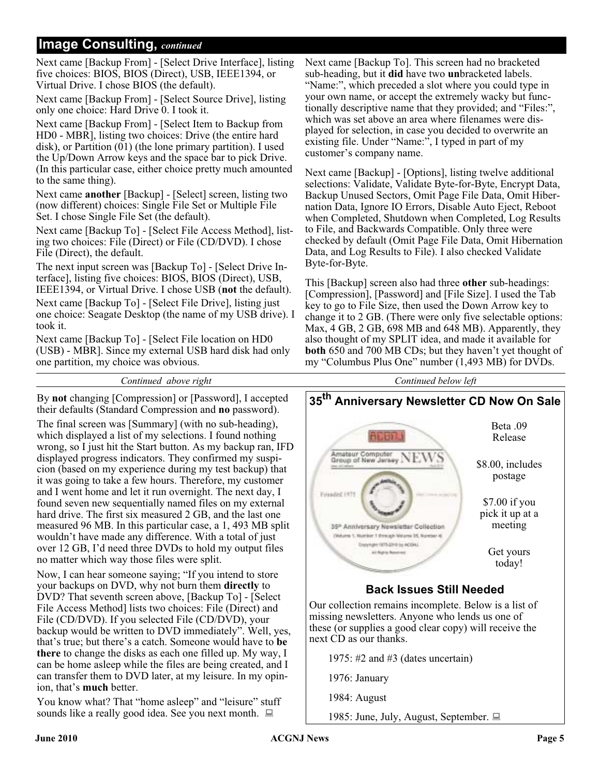# **Image Consulting,** *continued*

Next came [Backup From] - [Select Drive Interface], listing five choices: BIOS, BIOS (Direct), USB, IEEE1394, or Virtual Drive. I chose BIOS (the default).

Next came [Backup From] - [Select Source Drive], listing only one choice: Hard Drive 0. I took it.

Next came [Backup From] - [Select Item to Backup from HD0 - MBR], listing two choices: Drive (the entire hard disk), or Partition (01) (the lone primary partition). I used the Up/Down Arrow keys and the space bar to pick Drive. (In this particular case, either choice pretty much amounted to the same thing).

Next came **another** [Backup] - [Select] screen, listing two (now different) choices: Single File Set or Multiple File Set. I chose Single File Set (the default).

Next came [Backup To] - [Select File Access Method], listing two choices: File (Direct) or File (CD/DVD). I chose File (Direct), the default.

The next input screen was [Backup To] - [Select Drive Interface], listing five choices: BIOS, BIOS (Direct), USB, IEEE1394, or Virtual Drive. I chose USB (**not** the default). Next came [Backup To] - [Select File Drive], listing just one choice: Seagate Desktop (the name of my USB drive). I took it.

Next came [Backup To] - [Select File location on HD0 (USB) - MBR]. Since my external USB hard disk had only one partition, my choice was obvious.

#### *Continued above right Continued below left*

By **not** changing [Compression] or [Password], I accepted their defaults (Standard Compression and **no** password).

The final screen was [Summary] (with no sub-heading), which displayed a list of my selections. I found nothing wrong, so I just hit the Start button. As my backup ran, IFD displayed progress indicators. They confirmed my suspicion (based on my experience during my test backup) that it was going to take a few hours. Therefore, my customer and I went home and let it run overnight. The next day, I found seven new sequentially named files on my external hard drive. The first six measured 2 GB, and the last one measured 96 MB. In this particular case, a 1, 493 MB split wouldn't have made any difference. With a total of just over 12 GB, I'd need three DVDs to hold my output files no matter which way those files were split.

Now, I can hear someone saying; "If you intend to store your backups on DVD, why not burn them **directly** to DVD? That seventh screen above, [Backup To] - [Select File Access Method] lists two choices: File (Direct) and File (CD/DVD). If you selected File (CD/DVD), your backup would be written to DVD immediately". Well, yes, that's true; but there's a catch. Someone would have to **be there** to change the disks as each one filled up. My way, I can be home asleep while the files are being created, and I can transfer them to DVD later, at my leisure. In my opinion, that's **much** better.

You know what? That "home asleep" and "leisure" stuff sounds like a really good idea. See you next month.  $\Box$ 

Next came [Backup To]. This screen had no bracketed sub-heading, but it **did** have two **un**bracketed labels. "Name:", which preceded a slot where you could type in your own name, or accept the extremely wacky but functionally descriptive name that they provided; and "Files:", which was set above an area where filenames were displayed for selection, in case you decided to overwrite an existing file. Under "Name:", I typed in part of my customer's company name.

Next came [Backup] - [Options], listing twelve additional selections: Validate, Validate Byte-for-Byte, Encrypt Data, Backup Unused Sectors, Omit Page File Data, Omit Hibernation Data, Ignore IO Errors, Disable Auto Eject, Reboot when Completed, Shutdown when Completed, Log Results to File, and Backwards Compatible. Only three were checked by default (Omit Page File Data, Omit Hibernation Data, and Log Results to File). I also checked Validate Byte-for-Byte.

This [Backup] screen also had three **other** sub-headings: [Compression], [Password] and [File Size]. I used the Tab key to go to File Size, then used the Down Arrow key to change it to 2 GB. (There were only five selectable options: Max, 4 GB, 2 GB, 698 MB and 648 MB). Apparently, they also thought of my SPLIT idea, and made it available for **both** 650 and 700 MB CDs; but they haven't yet thought of my "Columbus Plus One" number (1,493 MB) for DVDs.



# **Back Issues Still Needed**

Our collection remains incomplete. Below is a list of missing newsletters. Anyone who lends us one of these (or supplies a good clear copy) will receive the next CD as our thanks.

1975: #2 and #3 (dates uncertain)

1976: January

1984: August

1985: June, July, August, September.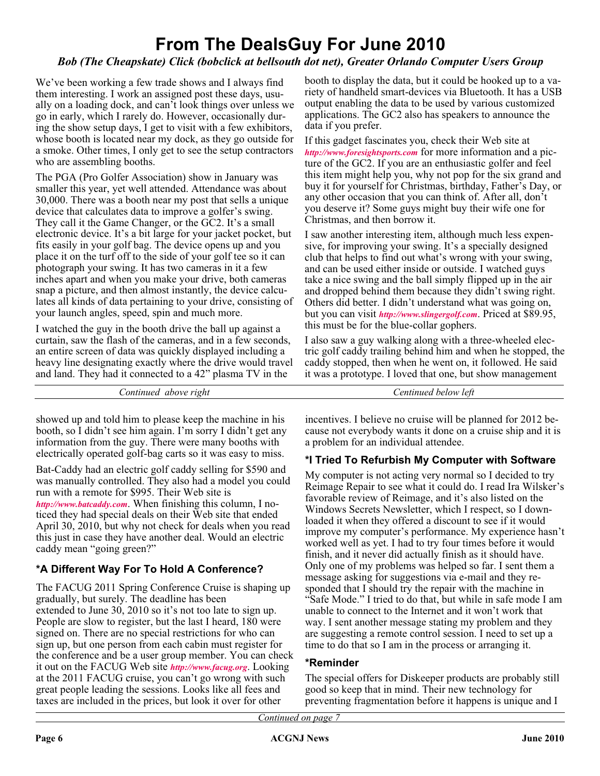# **From The DealsGuy For June 2010**

# *Bob (The Cheapskate) Click (bobclick at bellsouth dot net), Greater Orlando Computer Users Group*

We've been working a few trade shows and I always find them interesting. I work an assigned post these days, usually on a loading dock, and can't look things over unless we go in early, which I rarely do. However, occasionally during the show setup days, I get to visit with a few exhibitors, whose booth is located near my dock, as they go outside for a smoke. Other times, I only get to see the setup contractors who are assembling booths.

The PGA (Pro Golfer Association) show in January was smaller this year, yet well attended. Attendance was about 30,000. There was a booth near my post that sells a unique device that calculates data to improve a golfer's swing. They call it the Game Changer, or the GC2. It's a small electronic device. It's a bit large for your jacket pocket, but fits easily in your golf bag. The device opens up and you place it on the turf off to the side of your golf tee so it can photograph your swing. It has two cameras in it a few inches apart and when you make your drive, both cameras snap a picture, and then almost instantly, the device calculates all kinds of data pertaining to your drive, consisting of your launch angles, speed, spin and much more.

I watched the guy in the booth drive the ball up against a curtain, saw the flash of the cameras, and in a few seconds, an entire screen of data was quickly displayed including a heavy line designating exactly where the drive would travel and land. They had it connected to a 42" plasma TV in the

booth to display the data, but it could be hooked up to a variety of handheld smart-devices via Bluetooth. It has a USB output enabling the data to be used by various customized applications. The GC2 also has speakers to announce the data if you prefer.

If this gadget fascinates you, check their Web site at *<http://www.foresightsports.com>* for more information and a picture of the GC2. If you are an enthusiastic golfer and feel this item might help you, why not pop for the six grand and buy it for yourself for Christmas, birthday, Father's Day, or any other occasion that you can think of. After all, don't you deserve it? Some guys might buy their wife one for Christmas, and then borrow it.

I saw another interesting item, although much less expensive, for improving your swing. It's a specially designed club that helps to find out what's wrong with your swing, and can be used either inside or outside. I watched guys take a nice swing and the ball simply flipped up in the air and dropped behind them because they didn't swing right. Others did better. I didn't understand what was going on, but you can visit *<http://www.slingergolf.com>*. Priced at \$89.95, this must be for the blue-collar gophers.

I also saw a guy walking along with a three-wheeled electric golf caddy trailing behind him and when he stopped, the caddy stopped, then when he went on, it followed. He said it was a prototype. I loved that one, but show management

*Continued above right Centinued below left*

showed up and told him to please keep the machine in his booth, so I didn't see him again. I'm sorry I didn't get any information from the guy. There were many booths with electrically operated golf-bag carts so it was easy to miss.

Bat-Caddy had an electric golf caddy selling for \$590 and was manually controlled. They also had a model you could run with a remote for \$995. Their Web site is *<http://www.batcaddy.com>*. When finishing this column, I noticed they had special deals on their Web site that ended April 30, 2010, but why not check for deals when you read this just in case they have another deal. Would an electric caddy mean "going green?"

# **\*A Different Way For To Hold A Conference?**

The FACUG 2011 Spring Conference Cruise is shaping up gradually, but surely. The deadline has been extended to June 30, 2010 so it's not too late to sign up. People are slow to register, but the last I heard, 180 were signed on. There are no special restrictions for who can sign up, but one person from each cabin must register for the conference and be a user group member. You can check it out on the FACUG Web site *<http://www.facug.org>*. Looking at the 2011 FACUG cruise, you can't go wrong with such great people leading the sessions. Looks like all fees and taxes are included in the prices, but look it over for other

incentives. I believe no cruise will be planned for 2012 because not everybody wants it done on a cruise ship and it is a problem for an individual attendee.

# **\*I Tried To Refurbish My Computer with Software**

My computer is not acting very normal so I decided to try Reimage Repair to see what it could do. I read Ira Wilsker's favorable review of Reimage, and it's also listed on the Windows Secrets Newsletter, which I respect, so I downloaded it when they offered a discount to see if it would improve my computer's performance. My experience hasn't worked well as yet. I had to try four times before it would finish, and it never did actually finish as it should have. Only one of my problems was helped so far. I sent them a message asking for suggestions via e-mail and they responded that I should try the repair with the machine in "Safe Mode." I tried to do that, but while in safe mode I am unable to connect to the Internet and it won't work that way. I sent another message stating my problem and they are suggesting a remote control session. I need to set up a time to do that so I am in the process or arranging it.

## **\*Reminder**

The special offers for Diskeeper products are probably still good so keep that in mind. Their new technology for preventing fragmentation before it happens is unique and I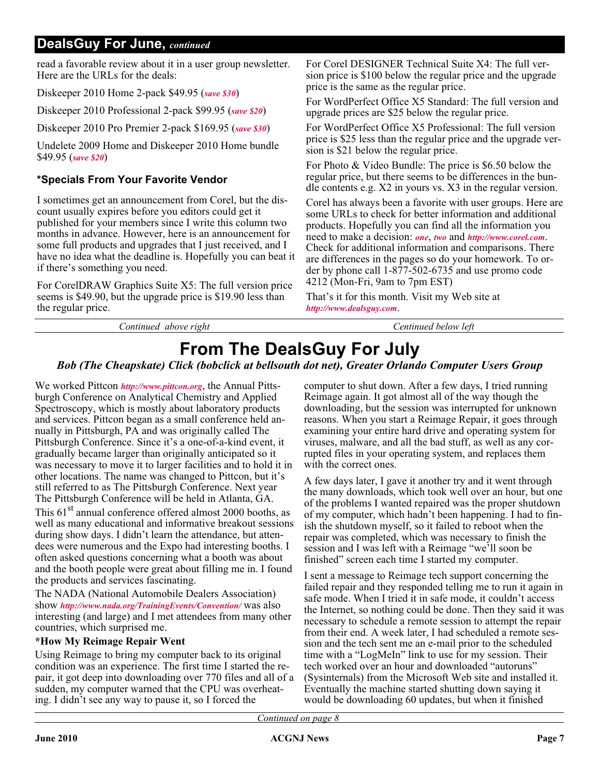# **DealsGuy For June,** *continued*

read a favorable review about it in a user group newsletter. Here are the URLs for the deals:

Diskeeper 2010 Home 2-pack \$49.95 (*[save \\$30](https://www.diskeeper.com/store/checkout/addtocart.aspx?item=49115&qty=1&srchash=_ioxswm_p)*)

Diskeeper 2010 Professional 2-pack \$99.95 (*[save \\$20](https://www.diskeeper.com/store/checkout/addtocart.aspx?item=49365&qty=1&srchash=_ioxswm_p)*)

Diskeeper 2010 Pro Premier 2-pack \$169.95 (*[save \\$30](https://www.diskeeper.com/store/checkout/addtocart.aspx?item=49366&qty=1&srchash=_ioxswm_p)*)

Undelete 2009 Home and Diskeeper 2010 Home bundle \$49.95 (*[save \\$20](http://www.diskeeper.com/store/checkout/addtocart.aspx?item=50519&qty=1&srchash=_ioxswm_p)*)

# **\*Specials From Your Favorite Vendor**

I sometimes get an announcement from Corel, but the discount usually expires before you editors could get it published for your members since I write this column two months in advance. However, here is an announcement for some full products and upgrades that I just received, and I have no idea what the deadline is. Hopefully you can beat it if there's something you need.

For CorelDRAW Graphics Suite X5: The full version price seems is \$49.90, but the upgrade price is \$19.90 less than the regular price.

*Continued above right Centinued below left*

For Corel DESIGNER Technical Suite X4: The full version price is \$100 below the regular price and the upgrade price is the same as the regular price.

For WordPerfect Office X5 Standard: The full version and upgrade prices are \$25 below the regular price.

For WordPerfect Office X5 Professional: The full version price is \$25 less than the regular price and the upgrade version is \$21 below the regular price.

For Photo & Video Bundle: The price is \$6.50 below the regular price, but there seems to be differences in the bundle contents e.g. X2 in yours vs. X3 in the regular version.

Corel has always been a favorite with user groups. Here are some URLs to check for better information and additional products. Hopefully you can find all the information you need to make a decision: *[one](http://store1.corel.com/corel/category.jsp?cat=cat3450073&trkid=31Mar10NACDGSX5LicenseUGeDMeDM)*, *[two](http://www.corel.com/content/pdf/cdgsx5/CDGSX5_version_comparison_matrix_en.pdf)* and *<http://www.corel.com>*. Check for additional information and comparisons. There are differences in the pages so do your homework. To order by phone call 1-877-502-6735 and use promo code 4212 (Mon-Fri, 9am to 7pm EST)

That's it for this month. Visit my Web site at *<http://www.dealsguy.com>*.

# **From The DealsGuy For July**

# *Bob (The Cheapskate) Click (bobclick at bellsouth dot net), Greater Orlando Computer Users Group*

We worked Pittcon *<http://www.pittcon.org>*, the Annual Pittsburgh Conference on Analytical Chemistry and Applied Spectroscopy, which is mostly about laboratory products and services. Pittcon began as a small conference held annually in Pittsburgh, PA and was originally called The Pittsburgh Conference. Since it's a one-of-a-kind event, it gradually became larger than originally anticipated so it was necessary to move it to larger facilities and to hold it in other locations. The name was changed to Pittcon, but it's still referred to as The Pittsburgh Conference. Next year The Pittsburgh Conference will be held in Atlanta, GA. This  $61<sup>st</sup>$  annual conference offered almost 2000 booths, as well as many educational and informative breakout sessions during show days. I didn't learn the attendance, but attendees were numerous and the Expo had interesting booths. I often asked questions concerning what a booth was about and the booth people were great about filling me in. I found the products and services fascinating.

The NADA (National Automobile Dealers Association) show *<http://www.nada.org/TrainingEvents/Convention/>* was also interesting (and large) and I met attendees from many other countries, which surprised me.

## **\*How My Reimage Repair Went**

Using Reimage to bring my computer back to its original condition was an experience. The first time I started the repair, it got deep into downloading over 770 files and all of a sudden, my computer warned that the CPU was overheating. I didn't see any way to pause it, so I forced the

computer to shut down. After a few days, I tried running Reimage again. It got almost all of the way though the downloading, but the session was interrupted for unknown reasons. When you start a Reimage Repair, it goes through examining your entire hard drive and operating system for viruses, malware, and all the bad stuff, as well as any corrupted files in your operating system, and replaces them with the correct ones.

A few days later, I gave it another try and it went through the many downloads, which took well over an hour, but one of the problems I wanted repaired was the proper shutdown of my computer, which hadn't been happening. I had to finish the shutdown myself, so it failed to reboot when the repair was completed, which was necessary to finish the session and I was left with a Reimage "we'll soon be finished" screen each time I started my computer.

I sent a message to Reimage tech support concerning the failed repair and they responded telling me to run it again in safe mode. When I tried it in safe mode, it couldn't access the Internet, so nothing could be done. Then they said it was necessary to schedule a remote session to attempt the repair from their end. A week later, I had scheduled a remote session and the tech sent me an e-mail prior to the scheduled time with a "LogMeIn" link to use for my session. Their tech worked over an hour and downloaded "autoruns" (Sysinternals) from the Microsoft Web site and installed it. Eventually the machine started shutting down saying it would be downloading 60 updates, but when it finished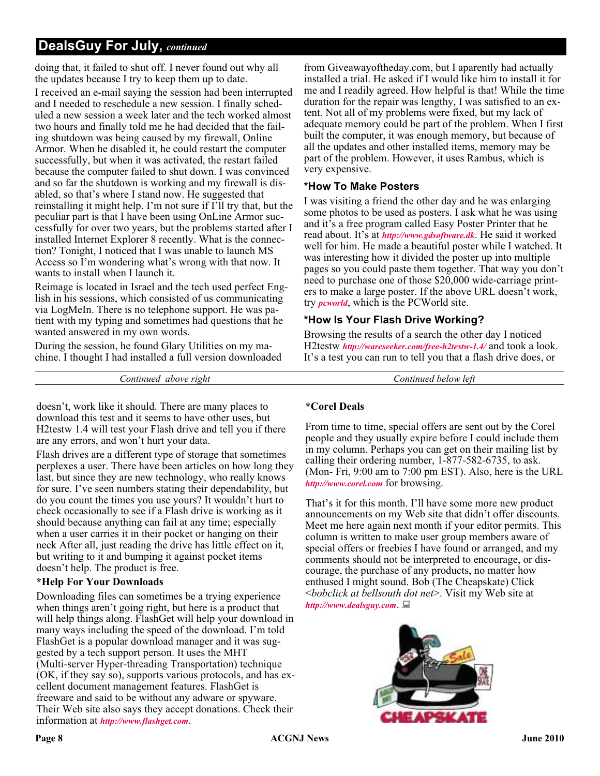# **DealsGuy For July,** *continued*

doing that, it failed to shut off. I never found out why all the updates because I try to keep them up to date.

I received an e-mail saying the session had been interrupted and I needed to reschedule a new session. I finally scheduled a new session a week later and the tech worked almost two hours and finally told me he had decided that the failing shutdown was being caused by my firewall, Online Armor. When he disabled it, he could restart the computer successfully, but when it was activated, the restart failed because the computer failed to shut down. I was convinced and so far the shutdown is working and my firewall is disabled, so that's where I stand now. He suggested that reinstalling it might help. I'm not sure if I'll try that, but the peculiar part is that I have been using OnLine Armor successfully for over two years, but the problems started after I installed Internet Explorer 8 recently. What is the connection? Tonight, I noticed that I was unable to launch MS Access so I'm wondering what's wrong with that now. It wants to install when I launch it.

Reimage is located in Israel and the tech used perfect English in his sessions, which consisted of us communicating via LogMeIn. There is no telephone support. He was patient with my typing and sometimes had questions that he wanted answered in my own words.

During the session, he found Glary Utilities on my machine. I thought I had installed a full version downloaded from Giveawayoftheday.com, but I aparently had actually installed a trial. He asked if I would like him to install it for me and I readily agreed. How helpful is that! While the time duration for the repair was lengthy, I was satisfied to an extent. Not all of my problems were fixed, but my lack of adequate memory could be part of the problem. When I first built the computer, it was enough memory, but because of all the updates and other installed items, memory may be part of the problem. However, it uses Rambus, which is very expensive.

#### **\*How To Make Posters**

I was visiting a friend the other day and he was enlarging some photos to be used as posters. I ask what he was using and it's a free program called Easy Poster Printer that he read about. It's at *<http://www.gdsoftware.dk>*. He said it worked well for him. He made a beautiful poster while I watched. It was interesting how it divided the poster up into multiple pages so you could paste them together. That way you don't need to purchase one of those \$20,000 wide-carriage printers to make a large poster. If the above URL doesn't work, try *[pcworld](http://www.pcworld.com/downloads/file/fid,83419-order,4/description.html)*, which is the PCWorld site.

## **\*How Is Your Flash Drive Working?**

Browsing the results of a search the other day I noticed H2testw *<http://wareseeker.com/free-h2testw-1.4/>* and took a look. It's a test you can run to tell you that a flash drive does, or

*Continued above right Continued below left*

doesn't, work like it should. There are many places to download this test and it seems to have other uses, but H2testw 1.4 will test your Flash drive and tell you if there are any errors, and won't hurt your data.

Flash drives are a different type of storage that sometimes perplexes a user. There have been articles on how long they last, but since they are new technology, who really knows for sure. I've seen numbers stating their dependability, but do you count the times you use yours? It wouldn't hurt to check occasionally to see if a Flash drive is working as it should because anything can fail at any time; especially when a user carries it in their pocket or hanging on their neck After all, just reading the drive has little effect on it, but writing to it and bumping it against pocket items doesn't help. The product is free.

# **\*Help For Your Downloads**

Downloading files can sometimes be a trying experience when things aren't going right, but here is a product that will help things along. FlashGet will help your download in many ways including the speed of the download. I'm told FlashGet is a popular download manager and it was suggested by a tech support person. It uses the MHT (Multi-server Hyper-threading Transportation) technique (OK, if they say so), supports various protocols, and has excellent document management features. FlashGet is freeware and said to be without any adware or spyware. Their Web site also says they accept donations. Check their information at *<http://www.flashget.com>*.

#### **\*Corel Deals**

From time to time, special offers are sent out by the Corel people and they usually expire before I could include them in my column. Perhaps you can get on their mailing list by calling their ordering number, 1-877-582-6735, to ask. (Mon- Fri, 9:00 am to 7:00 pm EST). Also, here is the URL *<http://www.corel.com>* for browsing.

That's it for this month. I'll have some more new product announcements on my Web site that didn't offer discounts. Meet me here again next month if your editor permits. This column is written to make user group members aware of special offers or freebies I have found or arranged, and my comments should not be interpreted to encourage, or discourage, the purchase of any products, no matter how enthused I might sound. Bob (The Cheapskate) Click <*bobclick at bellsouth dot net*>. Visit my Web site at *<http://www.dealsguy.com>*.

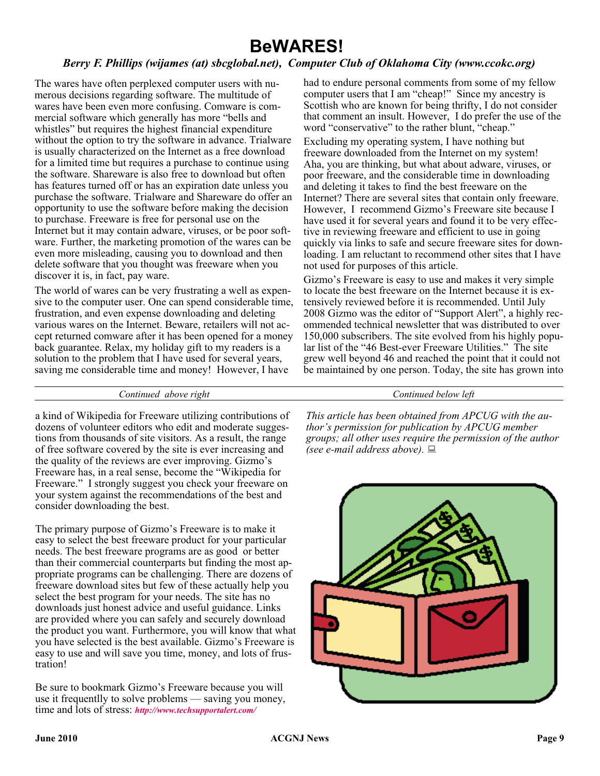# **BeWARES!**

# *Berry F. Phillips (wijames (at) sbcglobal.net), Computer Club of Oklahoma City (www.ccokc.org)*

The wares have often perplexed computer users with numerous decisions regarding software. The multitude of wares have been even more confusing. Comware is commercial software which generally has more "bells and whistles" but requires the highest financial expenditure without the option to try the software in advance. Trialware is usually characterized on the Internet as a free download for a limited time but requires a purchase to continue using the software. Shareware is also free to download but often has features turned off or has an expiration date unless you purchase the software. Trialware and Shareware do offer an opportunity to use the software before making the decision to purchase. Freeware is free for personal use on the Internet but it may contain adware, viruses, or be poor software. Further, the marketing promotion of the wares can be even more misleading, causing you to download and then delete software that you thought was freeware when you discover it is, in fact, pay ware.

The world of wares can be very frustrating a well as expensive to the computer user. One can spend considerable time, frustration, and even expense downloading and deleting various wares on the Internet. Beware, retailers will not accept returned comware after it has been opened for a money back guarantee. Relax, my holiday gift to my readers is a solution to the problem that I have used for several years, saving me considerable time and money! However, I have

had to endure personal comments from some of my fellow computer users that I am "cheap!" Since my ancestry is Scottish who are known for being thrifty, I do not consider that comment an insult. However, I do prefer the use of the word "conservative" to the rather blunt, "cheap."

Excluding my operating system, I have nothing but freeware downloaded from the Internet on my system! Aha, you are thinking, but what about adware, viruses, or poor freeware, and the considerable time in downloading and deleting it takes to find the best freeware on the Internet? There are several sites that contain only freeware. However, I recommend Gizmo's Freeware site because I have used it for several years and found it to be very effective in reviewing freeware and efficient to use in going quickly via links to safe and secure freeware sites for downloading. I am reluctant to recommend other sites that I have not used for purposes of this article.

Gizmo's Freeware is easy to use and makes it very simple to locate the best freeware on the Internet because it is extensively reviewed before it is recommended. Until July 2008 Gizmo was the editor of "Support Alert", a highly recommended technical newsletter that was distributed to over 150,000 subscribers. The site evolved from his highly popular list of the "46 Best-ever Freeware Utilities." The site grew well beyond 46 and reached the point that it could not be maintained by one person. Today, the site has grown into

#### *Continued above right Continued below left*

a kind of Wikipedia for Freeware utilizing contributions of dozens of volunteer editors who edit and moderate suggestions from thousands of site visitors. As a result, the range of free software covered by the site is ever increasing and the quality of the reviews are ever improving. Gizmo's Freeware has, in a real sense, become the "Wikipedia for Freeware." I strongly suggest you check your freeware on your system against the recommendations of the best and consider downloading the best.

The primary purpose of Gizmo's Freeware is to make it easy to select the best freeware product for your particular needs. The best freeware programs are as good or better than their commercial counterparts but finding the most appropriate programs can be challenging. There are dozens of freeware download sites but few of these actually help you select the best program for your needs. The site has no downloads just honest advice and useful guidance. Links are provided where you can safely and securely download the product you want. Furthermore, you will know that what you have selected is the best available. Gizmo's Freeware is easy to use and will save you time, money, and lots of frustration!

Be sure to bookmark Gizmo's Freeware because you will use it frequentlly to solve problems — saving you money, time and lots of stress: *[http://www.techsupportalert.com/](http://www.techsupportalert.com/ )*

*This article has been obtained from APCUG with the author's permission for publication by APCUG member groups; all other uses require the permission of the author (see e-mail address above).*

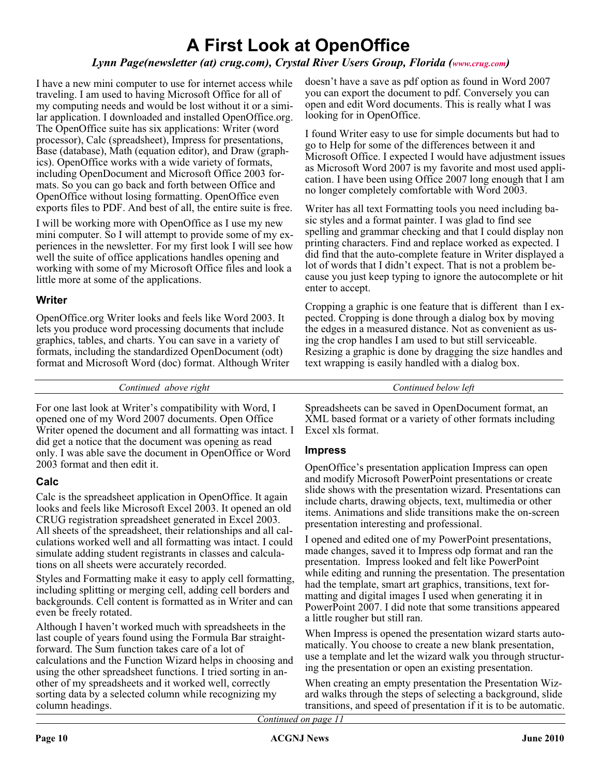# **A First Look at OpenOffice**

# *Lynn Page(newsletter (at) crug.com), Crystal River Users Group, Florida ([www.crug.com](http://www.crug.com))*

I have a new mini computer to use for internet access while traveling. I am used to having Microsoft Office for all of my computing needs and would be lost without it or a similar application. I downloaded and installed OpenOffice.org. The OpenOffice suite has six applications: Writer (word processor), Calc (spreadsheet), Impress for presentations, Base (database), Math (equation editor), and Draw (graphics). OpenOffice works with a wide variety of formats, including OpenDocument and Microsoft Office 2003 formats. So you can go back and forth between Office and OpenOffice without losing formatting. OpenOffice even exports files to PDF. And best of all, the entire suite is free.

I will be working more with OpenOffice as I use my new mini computer. So I will attempt to provide some of my experiences in the newsletter. For my first look I will see how well the suite of office applications handles opening and working with some of my Microsoft Office files and look a little more at some of the applications.

## **Writer**

OpenOffice.org Writer looks and feels like Word 2003. It lets you produce word processing documents that include graphics, tables, and charts. You can save in a variety of formats, including the standardized OpenDocument (odt) format and Microsoft Word (doc) format. Although Writer doesn't have a save as pdf option as found in Word 2007 you can export the document to pdf. Conversely you can open and edit Word documents. This is really what I was looking for in OpenOffice.

I found Writer easy to use for simple documents but had to go to Help for some of the differences between it and Microsoft Office. I expected I would have adjustment issues as Microsoft Word 2007 is my favorite and most used application. I have been using Office 2007 long enough that I am no longer completely comfortable with Word 2003.

Writer has all text Formatting tools you need including basic styles and a format painter. I was glad to find see spelling and grammar checking and that I could display non printing characters. Find and replace worked as expected. I did find that the auto-complete feature in Writer displayed a lot of words that I didn't expect. That is not a problem because you just keep typing to ignore the autocomplete or hit enter to accept.

Cropping a graphic is one feature that is different than I expected. Cropping is done through a dialog box by moving the edges in a measured distance. Not as convenient as using the crop handles I am used to but still serviceable. Resizing a graphic is done by dragging the size handles and text wrapping is easily handled with a dialog box.

*Continued above right Continued below left*

For one last look at Writer's compatibility with Word, I opened one of my Word 2007 documents. Open Office Writer opened the document and all formatting was intact. I did get a notice that the document was opening as read only. I was able save the document in OpenOffice or Word 2003 format and then edit it.

# **Calc**

Calc is the spreadsheet application in OpenOffice. It again looks and feels like Microsoft Excel 2003. It opened an old CRUG registration spreadsheet generated in Excel 2003. All sheets of the spreadsheet, their relationships and all calculations worked well and all formatting was intact. I could simulate adding student registrants in classes and calculations on all sheets were accurately recorded.

Styles and Formatting make it easy to apply cell formatting, including splitting or merging cell, adding cell borders and backgrounds. Cell content is formatted as in Writer and can even be freely rotated.

Although I haven't worked much with spreadsheets in the last couple of years found using the Formula Bar straightforward. The Sum function takes care of a lot of calculations and the Function Wizard helps in choosing and using the other spreadsheet functions. I tried sorting in another of my spreadsheets and it worked well, correctly sorting data by a selected column while recognizing my column headings.

Spreadsheets can be saved in OpenDocument format, an XML based format or a variety of other formats including Excel xls format.

# **Impress**

OpenOffice's presentation application Impress can open and modify Microsoft PowerPoint presentations or create slide shows with the presentation wizard. Presentations can include charts, drawing objects, text, multimedia or other items. Animations and slide transitions make the on-screen presentation interesting and professional.

I opened and edited one of my PowerPoint presentations, made changes, saved it to Impress odp format and ran the presentation. Impress looked and felt like PowerPoint while editing and running the presentation. The presentation had the template, smart art graphics, transitions, text formatting and digital images I used when generating it in PowerPoint 2007. I did note that some transitions appeared a little rougher but still ran.

When Impress is opened the presentation wizard starts automatically. You choose to create a new blank presentation, use a template and let the wizard walk you through structuring the presentation or open an existing presentation.

When creating an empty presentation the Presentation Wizard walks through the steps of selecting a background, slide transitions, and speed of presentation if it is to be automatic.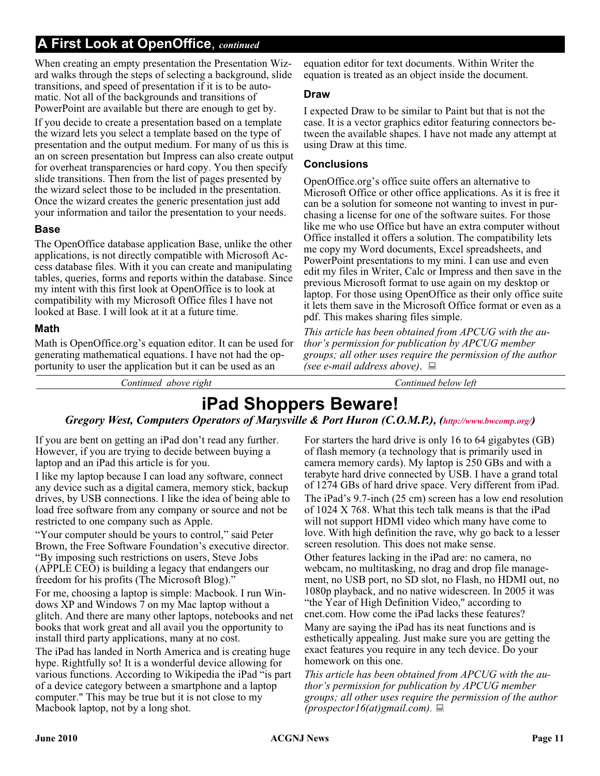# **A First Look at OpenOffice**, *continued*

When creating an empty presentation the Presentation Wizard walks through the steps of selecting a background, slide transitions, and speed of presentation if it is to be automatic. Not all of the backgrounds and transitions of PowerPoint are available but there are enough to get by.

If you decide to create a presentation based on a template the wizard lets you select a template based on the type of presentation and the output medium. For many of us this is an on screen presentation but Impress can also create output for overheat transparencies or hard copy. You then specify slide transitions. Then from the list of pages presented by the wizard select those to be included in the presentation. Once the wizard creates the generic presentation just add your information and tailor the presentation to your needs.

## **Base**

The OpenOffice database application Base, unlike the other applications, is not directly compatible with Microsoft Access database files. With it you can create and manipulating tables, queries, forms and reports within the database. Since my intent with this first look at OpenOffice is to look at compatibility with my Microsoft Office files I have not looked at Base. I will look at it at a future time.

#### **Math**

Math is OpenOffice.org's equation editor. It can be used for generating mathematical equations. I have not had the opportunity to user the application but it can be used as an

equation editor for text documents. Within Writer the equation is treated as an object inside the document.

#### **Draw**

I expected Draw to be similar to Paint but that is not the case. It is a vector graphics editor featuring connectors between the available shapes. I have not made any attempt at using Draw at this time.

## **Conclusions**

OpenOffice.org's office suite offers an alternative to Microsoft Office or other office applications. As it is free it can be a solution for someone not wanting to invest in purchasing a license for one of the software suites. For those like me who use Office but have an extra computer without Office installed it offers a solution. The compatibility lets me copy my Word documents, Excel spreadsheets, and PowerPoint presentations to my mini. I can use and even edit my files in Writer, Calc or Impress and then save in the previous Microsoft format to use again on my desktop or laptop. For those using OpenOffice as their only office suite it lets them save in the Microsoft Office format or even as a pdf. This makes sharing files simple.

*This article has been obtained from APCUG with the author's permission for publication by APCUG member groups; all other uses require the permission of the author (see e-mail address above)*.

*Continued above right Continued below left*

# **iPad Shoppers Beware!**

# *Gregory West, Computers Operators of Marysville & Port Huron (C.O.M.P.), [\(http://www.bwcomp.org/\)](http://www.bwcomp.org/)*

If you are bent on getting an iPad don't read any further. However, if you are trying to decide between buying a laptop and an iPad this article is for you.

I like my laptop because I can load any software, connect any device such as a digital camera, memory stick, backup drives, by USB connections. I like the idea of being able to load free software from any company or source and not be restricted to one company such as Apple.

"Your computer should be yours to control," said Peter Brown, the Free Software Foundation's executive director. "By imposing such restrictions on users, Steve Jobs (APPLE CEO) is building a legacy that endangers our freedom for his profits (The Microsoft Blog)."

For me, choosing a laptop is simple: Macbook. I run Windows XP and Windows 7 on my Mac laptop without a glitch. And there are many other laptops, notebooks and net books that work great and all avail you the opportunity to install third party applications, many at no cost.

The iPad has landed in North America and is creating huge hype. Rightfully so! It is a wonderful device allowing for various functions. According to Wikipedia the iPad "is part of a device category between a smartphone and a laptop computer." This may be true but it is not close to my Macbook laptop, not by a long shot.

For starters the hard drive is only 16 to 64 gigabytes (GB) of flash memory (a technology that is primarily used in camera memory cards). My laptop is 250 GBs and with a terabyte hard drive connected by USB. I have a grand total of 1274 GBs of hard drive space. Very different from iPad. The iPad's 9.7-inch (25 cm) screen has a low end resolution of 1024 X 768. What this tech talk means is that the iPad will not support HDMI video which many have come to love. With high definition the rave, why go back to a lesser screen resolution. This does not make sense.

Other features lacking in the iPad are: no camera, no webcam, no multitasking, no drag and drop file management, no USB port, no SD slot, no Flash, no HDMI out, no 1080p playback, and no native widescreen. In 2005 it was "the Year of High Definition Video," according to cnet.com. How come the iPad lacks these features?

Many are saying the iPad has its neat functions and is esthetically appealing. Just make sure you are getting the exact features you require in any tech device. Do your homework on this one.

*This article has been obtained from APCUG with the author's permission for publication by APCUG member groups; all other uses require the permission of the author (prospector16(at)gmail.com).*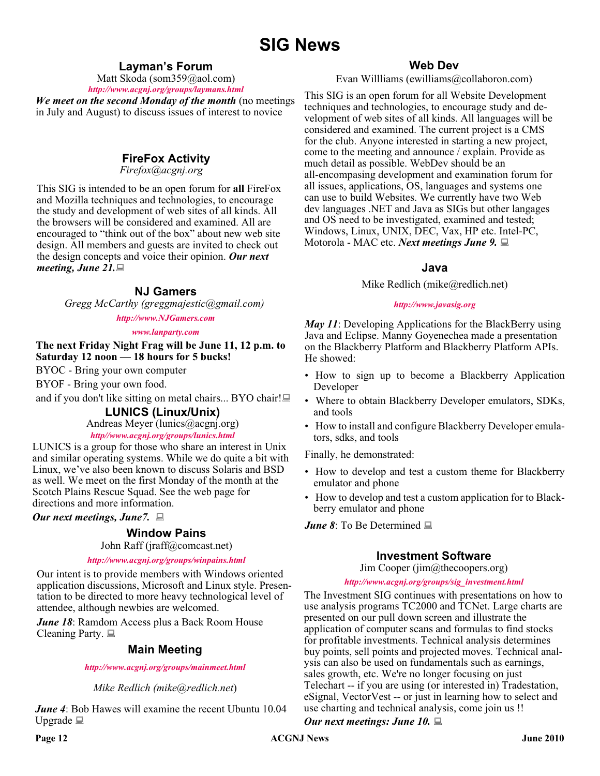# **SIG News**

# **Layman's Forum**

Matt Skoda (som359@aol.com)

*<http://www.acgnj.org/groups/laymans.html> We meet on the second Monday of the month* (no meetings in July and August) to discuss issues of interest to novice

# **FireFox Activity**

*Firefox@acgnj.org*

This SIG is intended to be an open forum for **all** FireFox and Mozilla techniques and technologies, to encourage the study and development of web sites of all kinds. All the browsers will be considered and examined. All are encouraged to "think out of the box" about new web site design. All members and guests are invited to check out the design concepts and voice their opinion. *Our next meeting, June 21.*

## **NJ Gamers**

*Gregg McCarthy (greggmajestic@gmail.com)*

#### *<http://www.NJGamers.com>*

#### *[www.lanparty.com](http://www.lanparty.com)*

**The next Friday Night Frag will be June 11, 12 p.m. to Saturday 12 noon — 18 hours for 5 bucks!**

BYOC - Bring your own computer

BYOF - Bring your own food.

and if you don't like sitting on metal chairs... BYO chair!

# **LUNICS (Linux/Unix)**

Andreas Meyer (lunics@acgnj.org)

## *<http//www.acgnj.org/groups/lunics.html>*

LUNICS is a group for those who share an interest in Unix and similar operating systems. While we do quite a bit with Linux, we've also been known to discuss Solaris and BSD as well. We meet on the first Monday of the month at the Scotch Plains Rescue Squad. See the web page for directions and more information.

*Our next meetings, June7.*

## **Window Pains**

John Raff (jraff@comcast.net)

#### *<http://www.acgnj.org/groups/winpains.html>*

Our intent is to provide members with Windows oriented application discussions, Microsoft and Linux style. Presentation to be directed to more heavy technological level of attendee, although newbies are welcomed.

*June 18*: Ramdom Access plus a Back Room House Cleaning Party.  $\Box$ 

## **Main Meeting**

*<http://www.acgnj.org/groups/mainmeet.html>*

*Mike Redlich (mike@redlich.net*)

*June 4*: Bob Hawes will examine the recent Ubuntu 10.04 Upgrade  $\Box$ 

## **Web Dev**

Evan Willliams (ewilliams@collaboron.com)

This SIG is an open forum for all Website Development techniques and technologies, to encourage study and development of web sites of all kinds. All languages will be considered and examined. The current project is a CMS for the club. Anyone interested in starting a new project, come to the meeting and announce / explain. Provide as much detail as possible. WebDev should be an all-encompasing development and examination forum for all issues, applications, OS, languages and systems one can use to build Websites. We currently have two Web dev languages .NET and Java as SIGs but other langages and OS need to be investigated, examined and tested; Windows, Linux, UNIX, DEC, Vax, HP etc. Intel-PC, Motorola - MAC etc. *Next meetings June 9.*

#### **Java**

Mike Redlich (mike@redlich.net)

#### *<http://www.javasig.org>*

*May 11*: Developing Applications for the BlackBerry using Java and Eclipse. Manny Goyenechea made a presentation on the Blackberry Platform and Blackberry Platform APIs. He showed:

- How to sign up to become a Blackberry Application Developer
- Where to obtain Blackberry Developer emulators, SDKs, and tools
- How to install and configure Blackberry Developer emulators, sdks, and tools

Finally, he demonstrated:

- How to develop and test a custom theme for Blackberry emulator and phone
- How to develop and test a custom application for to Blackberry emulator and phone

*June 8*: To Be Determined ■

# **Investment Software**

Jim Cooper (jim@thecoopers.org)

#### *[http://www.acgnj.org/groups/sig\\_investment.html](http://www.acgnj.org/groups/sig_investment.html)*

The Investment SIG continues with presentations on how to use analysis programs TC2000 and TCNet. Large charts are presented on our pull down screen and illustrate the application of computer scans and formulas to find stocks for profitable investments. Technical analysis determines buy points, sell points and projected moves. Technical analysis can also be used on fundamentals such as earnings, sales growth, etc. We're no longer focusing on just Telechart -- if you are using (or interested in) Tradestation, eSignal, VectorVest -- or just in learning how to select and use charting and technical analysis, come join us !!

#### *Our next meetings: June 10.*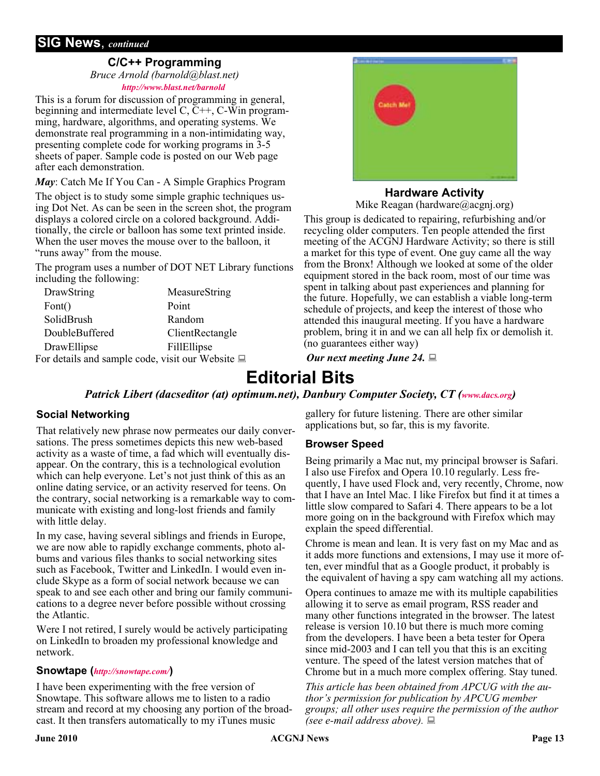# **SIG News**, *continued*

## **C/C++ Programming**

*Bruce Arnold (barnold@blast.net) <http://www.blast.net/barnold>*

This is a forum for discussion of programming in general, beginning and intermediate level C, C++, C-Win programming, hardware, algorithms, and operating systems. We demonstrate real programming in a non-intimidating way, presenting complete code for working programs in 3-5 sheets of paper. Sample code is posted on our Web page after each demonstration.

*May*: Catch Me If You Can - A Simple Graphics Program

The object is to study some simple graphic techniques using Dot Net. As can be seen in the screen shot, the program displays a colored circle on a colored background. Additionally, the circle or balloon has some text printed inside. When the user moves the mouse over to the balloon, it "runs away" from the mouse.

The program uses a number of DOT NET Library functions including the following:

| DrawString                                            | MeasureString      |
|-------------------------------------------------------|--------------------|
| Font()                                                | Point              |
| SolidBrush                                            | Random             |
| DoubleBuffered                                        | ClientRectangle    |
| DrawEllipse                                           | <b>FillEllipse</b> |
| For details and sample code, visit our Website $\Box$ |                    |



# **Hardware Activity**

Mike Reagan (hardware@acgnj.org)

This group is dedicated to repairing, refurbishing and/or recycling older computers. Ten people attended the first meeting of the ACGNJ Hardware Activity; so there is still a market for this type of event. One guy came all the way from the Bronx! Although we looked at some of the older equipment stored in the back room, most of our time was spent in talking about past experiences and planning for the future. Hopefully, we can establish a viable long-term schedule of projects, and keep the interest of those who attended this inaugural meeting. If you have a hardware problem, bring it in and we can all help fix or demolish it. (no guarantees either way)

*Our next meeting June 24.*

# **Editorial Bits**

*Patrick Libert (dacseditor (at) optimum.net), Danbury Computer Society, CT [\(www.dacs.org\)](http://www.dacs.org)* 

## **Social Networking**

That relatively new phrase now permeates our daily conversations. The press sometimes depicts this new web-based activity as a waste of time, a fad which will eventually disappear. On the contrary, this is a technological evolution which can help everyone. Let's not just think of this as an online dating service, or an activity reserved for teens. On the contrary, social networking is a remarkable way to communicate with existing and long-lost friends and family with little delay.

In my case, having several siblings and friends in Europe, we are now able to rapidly exchange comments, photo albums and various files thanks to social networking sites such as Facebook, Twitter and LinkedIn. I would even include Skype as a form of social network because we can speak to and see each other and bring our family communications to a degree never before possible without crossing the Atlantic.

Were I not retired, I surely would be actively participating on LinkedIn to broaden my professional knowledge and network.

## **Snowtape (***<http://snowtape.com/>***)**

I have been experimenting with the free version of Snowtape. This software allows me to listen to a radio stream and record at my choosing any portion of the broadcast. It then transfers automatically to my iTunes music

gallery for future listening. There are other similar applications but, so far, this is my favorite.

## **Browser Speed**

Being primarily a Mac nut, my principal browser is Safari. I also use Firefox and Opera 10.10 regularly. Less frequently, I have used Flock and, very recently, Chrome, now that I have an Intel Mac. I like Firefox but find it at times a little slow compared to Safari 4. There appears to be a lot more going on in the background with Firefox which may explain the speed differential.

Chrome is mean and lean. It is very fast on my Mac and as it adds more functions and extensions, I may use it more often, ever mindful that as a Google product, it probably is the equivalent of having a spy cam watching all my actions.

Opera continues to amaze me with its multiple capabilities allowing it to serve as email program, RSS reader and many other functions integrated in the browser. The latest release is version 10.10 but there is much more coming from the developers. I have been a beta tester for Opera since mid-2003 and I can tell you that this is an exciting venture. The speed of the latest version matches that of Chrome but in a much more complex offering. Stay tuned.

*This article has been obtained from APCUG with the author's permission for publication by APCUG member groups; all other uses require the permission of the author (see e-mail address above).*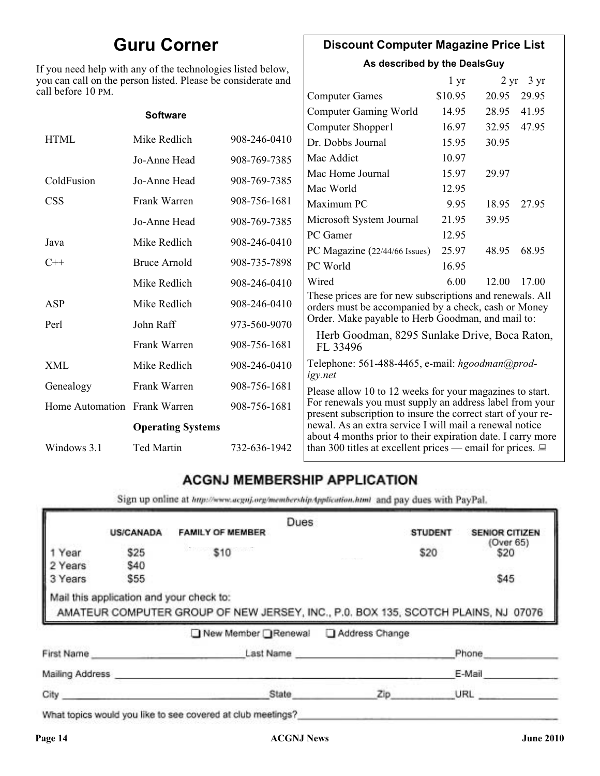# **Guru Corner**

If you need help with any of the technologies listed below, you can call on the person listed. Please be considerate and ca

# **Discount Computer Magazine Price List**

**As described by the DealsGuy**

| ll before 10 PM.             | ou can call on the person listed. Please be considerate and |              |                                                                                                                         | 1 <sub>yr</sub> |       | $2 \text{ yr}$ 3 yr |
|------------------------------|-------------------------------------------------------------|--------------|-------------------------------------------------------------------------------------------------------------------------|-----------------|-------|---------------------|
|                              |                                                             |              | <b>Computer Games</b>                                                                                                   | \$10.95         | 20.95 | 29.95               |
|                              | <b>Software</b>                                             |              | <b>Computer Gaming World</b>                                                                                            | 14.95           | 28.95 | 41.95               |
|                              |                                                             |              | Computer Shopper1                                                                                                       | 16.97           | 32.95 | 47.95               |
| <b>HTML</b>                  | Mike Redlich                                                | 908-246-0410 | Dr. Dobbs Journal                                                                                                       | 15.95           | 30.95 |                     |
|                              | Jo-Anne Head                                                | 908-769-7385 | Mac Addict                                                                                                              | 10.97           |       |                     |
| ColdFusion                   | Jo-Anne Head                                                | 908-769-7385 | Mac Home Journal                                                                                                        | 15.97           | 29.97 |                     |
|                              |                                                             |              | Mac World                                                                                                               | 12.95           |       |                     |
| <b>CSS</b>                   | Frank Warren                                                | 908-756-1681 | Maximum PC                                                                                                              | 9.95            | 18.95 | 27.95               |
|                              | Jo-Anne Head                                                | 908-769-7385 | Microsoft System Journal                                                                                                | 21.95           | 39.95 |                     |
| Java                         | Mike Redlich                                                | 908-246-0410 | PC Gamer                                                                                                                | 12.95           |       |                     |
|                              |                                                             |              | PC Magazine (22/44/66 Issues)                                                                                           | 25.97           | 48.95 | 68.95               |
| $C++$                        | <b>Bruce Arnold</b>                                         | 908-735-7898 | PC World                                                                                                                | 16.95           |       |                     |
|                              | Mike Redlich                                                | 908-246-0410 | Wired                                                                                                                   | 6.00            | 12.00 | 17.00               |
| ASP                          | Mike Redlich                                                | 908-246-0410 | These prices are for new subscriptions and renewals. All<br>orders must be accompanied by a check, cash or Money        |                 |       |                     |
| Perl                         | John Raff                                                   | 973-560-9070 | Order. Make payable to Herb Goodman, and mail to:                                                                       |                 |       |                     |
|                              | Frank Warren                                                | 908-756-1681 | Herb Goodman, 8295 Sunlake Drive, Boca Raton,<br>FL 33496                                                               |                 |       |                     |
| XML                          | Mike Redlich                                                | 908-246-0410 | Telephone: 561-488-4465, e-mail: hgoodman@prod-<br>igy.net                                                              |                 |       |                     |
| Genealogy                    | Frank Warren                                                | 908-756-1681 | Please allow 10 to 12 weeks for your magazines to start.                                                                |                 |       |                     |
| Home Automation Frank Warren |                                                             | 908-756-1681 | For renewals you must supply an address label from your<br>present subscription to insure the correct start of your re- |                 |       |                     |
| <b>Operating Systems</b>     |                                                             |              | newal. As an extra service I will mail a renewal notice<br>about 4 months prior to their expiration date. I carry more  |                 |       |                     |
| Windows 3.1                  | Ted Martin                                                  | 732-636-1942 | than 300 titles at excellent prices — email for prices. $\Box$                                                          |                 |       |                     |

# **ACGNJ MEMBERSHIP APPLICATION**

Sign up online at http://www.acguj.org/membershipApplication.html and pay dues with PayPal.

|                 |                  |                                                                                                                               | Dues           |                |                       |
|-----------------|------------------|-------------------------------------------------------------------------------------------------------------------------------|----------------|----------------|-----------------------|
|                 | <b>US/CANADA</b> | <b>FAMILY OF MEMBER</b>                                                                                                       |                | <b>STUDENT</b> | <b>SENIOR CITIZEN</b> |
| 1 Year          | \$25             | \$10                                                                                                                          |                | \$20           | (Over 65)<br>\$20     |
| 2 Years         | \$40             |                                                                                                                               |                |                |                       |
| 3 Years         | \$55             |                                                                                                                               |                |                | \$45                  |
|                 |                  | Mail this application and your check to:<br>AMATEUR COMPUTER GROUP OF NEW JERSEY, INC., P.0. BOX 135, SCOTCH PLAINS, NJ 07076 |                |                |                       |
|                 |                  | ■ New Member Renewal                                                                                                          | Address Change |                |                       |
| First Name      |                  | Last Name                                                                                                                     |                |                | Phone                 |
| Mailing Address |                  |                                                                                                                               |                |                | E-Mail                |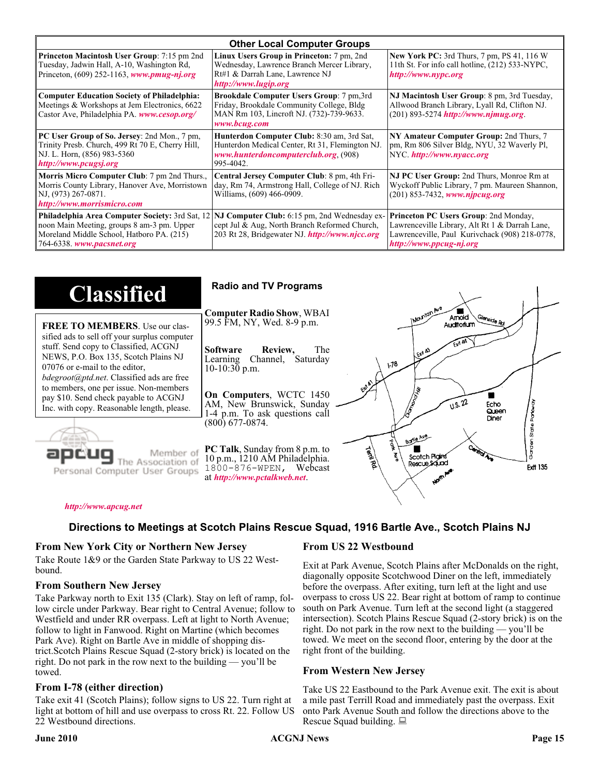| <b>Other Local Computer Groups</b>                                                                                                                                             |                                                                                                                                                           |                                                                                                                                                                      |  |
|--------------------------------------------------------------------------------------------------------------------------------------------------------------------------------|-----------------------------------------------------------------------------------------------------------------------------------------------------------|----------------------------------------------------------------------------------------------------------------------------------------------------------------------|--|
| <b>Princeton Macintosh User Group:</b> 7:15 pm 2nd<br>Tuesday, Jadwin Hall, A-10, Washington Rd,<br>Princeton, $(609)$ 252-1163, www.pmug-nj.org                               | Linux Users Group in Princeton: 7 pm, 2nd<br>Wednesday, Lawrence Branch Mercer Library,<br>Rt#1 & Darrah Lane, Lawrence NJ<br>http://www.lugip.org        | <b>New York PC:</b> 3rd Thurs, 7 pm, PS 41, 116 W<br>11th St. For info call hotline, (212) 533-NYPC,<br>http://www.nypc.org                                          |  |
| <b>Computer Education Society of Philadelphia:</b><br>Meetings & Workshops at Jem Electronics, 6622<br>Castor Ave, Philadelphia PA. www.cesop.org/                             | <b>Brookdale Computer Users Group:</b> 7 pm, 3rd<br>Friday, Brookdale Community College, Bldg<br>MAN Rm 103, Lincroft NJ. (732)-739-9633.<br>www.bcug.com | NJ Macintosh User Group: 8 pm, 3rd Tuesday,<br>Allwood Branch Library, Lyall Rd, Clifton NJ.<br>$(201)$ 893-5274 http://www.njmug.org                                |  |
| PC User Group of So. Jersey: 2nd Mon., 7 pm,<br>Trinity Presb. Church, 499 Rt 70 E, Cherry Hill,<br>NJ. L. Horn, (856) 983-5360<br>http://www.pcugsj.org                       | Hunterdon Computer Club: 8:30 am, 3rd Sat,<br>Hunterdon Medical Center, Rt 31, Flemington NJ.<br>www.hunterdoncomputerclub.org. (908)<br>995-4042.        | NY Amateur Computer Group: 2nd Thurs, 7<br>pm, Rm 806 Silver Bldg, NYU, 32 Waverly Pl,<br>NYC http://www.nyacc.org                                                   |  |
| Morris Micro Computer Club: 7 pm 2nd Thurs.,<br>Morris County Library, Hanover Ave, Morristown<br>NJ, (973) 267-0871.<br>http://www.morrismicro.com                            | Central Jersey Computer Club: 8 pm, 4th Fri-<br>day, Rm 74, Armstrong Hall, College of NJ. Rich<br>Williams, (609) 466-0909.                              | NJ PC User Group: 2nd Thurs, Monroe Rm at<br>Wyckoff Public Library, 7 pm. Maureen Shannon,<br>$(201)$ 853-7432, www.njpcug.org                                      |  |
| <b>Philadelphia Area Computer Society: 3rd Sat, 12</b><br>noon Main Meeting, groups 8 am-3 pm. Upper<br>Moreland Middle School, Hatboro PA. (215)<br>764-6338. www.pacsnet.org | NJ Computer Club: 6:15 pm, 2nd Wednesday ex-<br>cept Jul & Aug, North Branch Reformed Church,<br>203 Rt 28, Bridgewater NJ. http://www.njcc.org           | Princeton PC Users Group: 2nd Monday,<br>Lawrenceville Library, Alt Rt 1 & Darrah Lane,<br>Lawrenceville, Paul Kurivchack (908) 218-0778,<br>http://www.ppcug-nj.org |  |

| <b>Classified</b>                                                                                                                                                                                                                                                                                                                                                                             | <b>Radio and TV Programs</b>                                                                                                                                                                                                                                                                                                                                           |
|-----------------------------------------------------------------------------------------------------------------------------------------------------------------------------------------------------------------------------------------------------------------------------------------------------------------------------------------------------------------------------------------------|------------------------------------------------------------------------------------------------------------------------------------------------------------------------------------------------------------------------------------------------------------------------------------------------------------------------------------------------------------------------|
| <b>FREE TO MEMBERS.</b> Use our clas-<br>sified ads to sell off your surplus computer<br>stuff. Send copy to Classified, ACGNJ<br>NEWS, P.O. Box 135, Scotch Plains NJ<br>07076 or e-mail to the editor,<br><i>bdegroot@ptd.net.</i> Classified ads are free<br>to members, one per issue. Non-members<br>pay \$10. Send check payable to ACGNJ<br>Inc. with copy. Reasonable length, please. | IMOUNTON AVE<br><b>Computer Radio Show, WBAI</b><br>Amold<br>Slenside Rd<br>99.5 FM, NY, Wed. 8-9 p.m.<br>Auditorium<br>The<br><b>Software</b><br>Review,<br>L Exit A3<br>Channel, Saturday<br>Learning<br>$\sqrt{3}$<br>$10-10:30$ p.m.<br>On Computers, WCTC 1450<br>0.5.22<br>AM, New Brunswick, Sunday<br>Echo<br>Queen<br>1-4 p.m. To ask questions call<br>Diner |
| Member of<br>ociation of<br>Personal Computer User Groups                                                                                                                                                                                                                                                                                                                                     | $(800)$ 677-0874.<br>ភូ<br>ភ្ន<br>Borle Ave<br>É<br><b>Cantrol Ave</b><br>PC Talk, Sunday from 8 p.m. to<br><b>Termited</b><br>Scotch Plains<br>10 p.m., 1210 AM Philadelphia.<br>Rescue Sound<br><b>Ext 135</b><br>1800-876-WPEN, Webcast<br>at http://www.pctalkweb.net.<br>$\mathbf{v}^{\mathbf{c}^{\prime}}$                                                       |

#### *<http://www.apcug.net>*

# **Directions to Meetings at Scotch Plains Rescue Squad, 1916 Bartle Ave., Scotch Plains NJ**

#### **From New York City or Northern New Jersey**

Take Route 1&9 or the Garden State Parkway to US 22 Westbound.

#### **From Southern New Jersey**

Take Parkway north to Exit 135 (Clark). Stay on left of ramp, follow circle under Parkway. Bear right to Central Avenue; follow to Westfield and under RR overpass. Left at light to North Avenue; follow to light in Fanwood. Right on Martine (which becomes Park Ave). Right on Bartle Ave in middle of shopping district.Scotch Plains Rescue Squad (2-story brick) is located on the right. Do not park in the row next to the building — you'll be towed.

#### **From I-78 (either direction)**

Take exit 41 (Scotch Plains); follow signs to US 22. Turn right at light at bottom of hill and use overpass to cross Rt. 22. Follow US 22 Westbound directions.

#### **From US 22 Westbound**

Exit at Park Avenue, Scotch Plains after McDonalds on the right, diagonally opposite Scotchwood Diner on the left, immediately before the overpass. After exiting, turn left at the light and use overpass to cross US 22. Bear right at bottom of ramp to continue south on Park Avenue. Turn left at the second light (a staggered intersection). Scotch Plains Rescue Squad (2-story brick) is on the right. Do not park in the row next to the building — you'll be towed. We meet on the second floor, entering by the door at the right front of the building.

#### **From Western New Jersey**

Take US 22 Eastbound to the Park Avenue exit. The exit is about a mile past Terrill Road and immediately past the overpass. Exit onto Park Avenue South and follow the directions above to the Rescue Squad building.